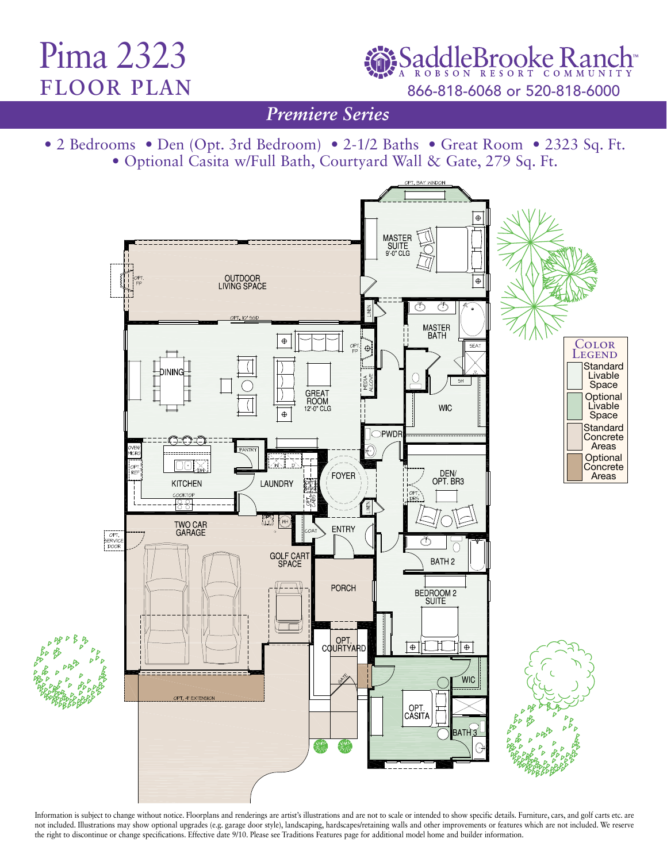## Pima 2323 floor plan

SaddleBrooke Ranch 866-818-6068 or 520-818-6000

*Traditions Series Premiere Series*

• 2 Bedrooms • Den (Opt. 3rd Bedroom) • 2-1/2 Baths • Great Room • 2323 Sq. Ft. • Optional Casita w/Full Bath, Courtyard Wall & Gate, 279 Sq. Ft.



Information is subject to change without notice. Floorplans and renderings are artist's illustrations and are not to scale or intended to show specific details. Furniture, cars, and golf carts etc. are not included. Illustrations may show optional upgrades (e.g. garage door style), landscaping, hardscapes/retaining walls and other improvements or features which are not included. We reserve the right to discontinue or change specifications. Effective date 9/10. Please see Traditions Features page for additional model home and builder information.